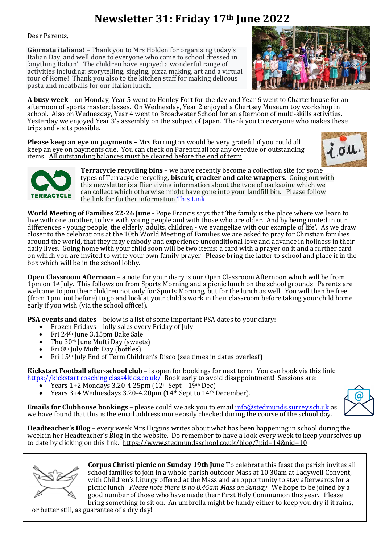## **Newsletter 31: Friday 17th June 2022**

Dear Parents,

**Giornata italiana!** – Thank you to Mrs Holden for organising today's Italian Day, and well done to everyone who came to school dressed in 'anything Italian'. The children have enjoyed a wonderful range of activities including: storytelling, singing, pizza making, art and a virtual tour of Rome! Thank you also to the kitchen staff for making delicous pasta and meatballs for our Italian lunch.



**A busy week** – on Monday, Year 5 went to Henley Fort for the day and Year 6 went to Charterhouse for an afternoon of sports masterclasses. On Wednesday, Year 2 enjoyed a Chertsey Museum toy workshop in school. Also on Wednesday, Year 4 went to Broadwater School for an afternoon of multi-skills activities. Yesterday we enjoyed Year 3's assembly on the subject of Japan. Thank you to everyone who makes these trips and visits possible.

**Please keep an eye on payments –** Mrs Farrington would be very grateful if you could all keep an eye on payments due. You can check on Parentmail for any overdue or outstanding items. All outstanding balances must be cleared before the end of term.





**Terracycle recycling bins** – we have recently become a collection site for some types of Terracycle recycling, **biscuit, cracker and cake wrappers.** Going out with this newsletter is a flier giving information about the type of packaging which we can collect which otherwise might have gone into your landfill bin. Please follow the link for further information [This Link](https://www.terracycle.com/en-GB/brigades/pladis#@51.185676482089136:-0.6021346513196213zoom:14&1-20of1)

**World Meeting of Families 22-26 June** - Pope Francis says that 'the family is the place where we learn to live with one another, to live with young people and with those who are older. And by being united in our differences - young people, the elderly, adults, children - we evangelize with our example of life'. As we draw closer to the celebrations at the 10th World Meeting of Families we are asked to pray for Christian families around the world, that they may embody and experience unconditional love and advance in holiness in their daily lives. Going home with your child soon will be two items: a card with a prayer on it and a further card on which you are invited to write your own family prayer. Please bring the latter to school and place it in the box which will be in the school lobby.

**Open Classroom Afternoon** – a note for your diary is our Open Classroom Afternoon which will be from 1pm on 1<sup>st</sup> July. This follows on from Sports Morning and a picnic lunch on the school grounds. Parents are welcome to join their children not only for Sports Morning, but for the lunch as well. You will then be free (from 1pm, not before) to go and look at your child's work in their classroom before taking your child home early if you wish (via the school office!).

**PSA events and dates** – below is a list of some important PSA dates to your diary:

- Frozen Fridays lolly sales every Friday of July
- Fri 24th June 3.15pm Bake Sale
- Thu  $30<sup>th</sup>$  June Mufti Day (sweets)
- Fri 8th July Mufti Day (bottles)
- Fri 15<sup>th</sup> July End of Term Children's Disco (see times in dates overleaf)

**Kickstart Football after-school club** – is open for bookings for next term. You can book via this link: [https://kickstart coaching.class4kids.co.uk/](https://kickstartcoaching.class4kids.co.uk/) Book early to avoid disappointment! Sessions are:

- Years  $1+2$  Mondays 3.20-4.25pm  $(12<sup>th</sup>$  Sept  $19<sup>th</sup>$  Dec)
- Years 3+4 Wednesdays 3.20-4.20pm (14<sup>th</sup> Sept to 14<sup>th</sup> December).

**Emails for Clubhouse bookings** – please could we ask you to email [info@stedmunds.surrey.sch.uk](mailto:info@stedmunds.surrey.sch.uk) as we have found that this is the email address more easily checked during the course of the school day.



**Headteacher's Blog** – every week Mrs Higgins writes about what has been happening in school during the week in her Headteacher's Blog in the website. Do remember to have a look every week to keep yourselves up to date by clicking on this link.<https://www.stedmundsschool.co.uk/blog/?pid=14&nid=10>



**Corpus Christi picnic on Sunday 19th June** To celebrate this feast the parish invites all school families to join in a whole-parish outdoor Mass at 10.30am at Ladywell Convent, with Children's Liturgy offered at the Mass and an opportunity to stay afterwards for a picnic lunch. *Please note there is no 8.45am Mass on Sunday*. We hope to be joined by a good number of those who have made their First Holy Communion this year. Please bring something to sit on. An umbrella might be handy either to keep you dry if it rains,

or better still, as guarantee of a dry day!